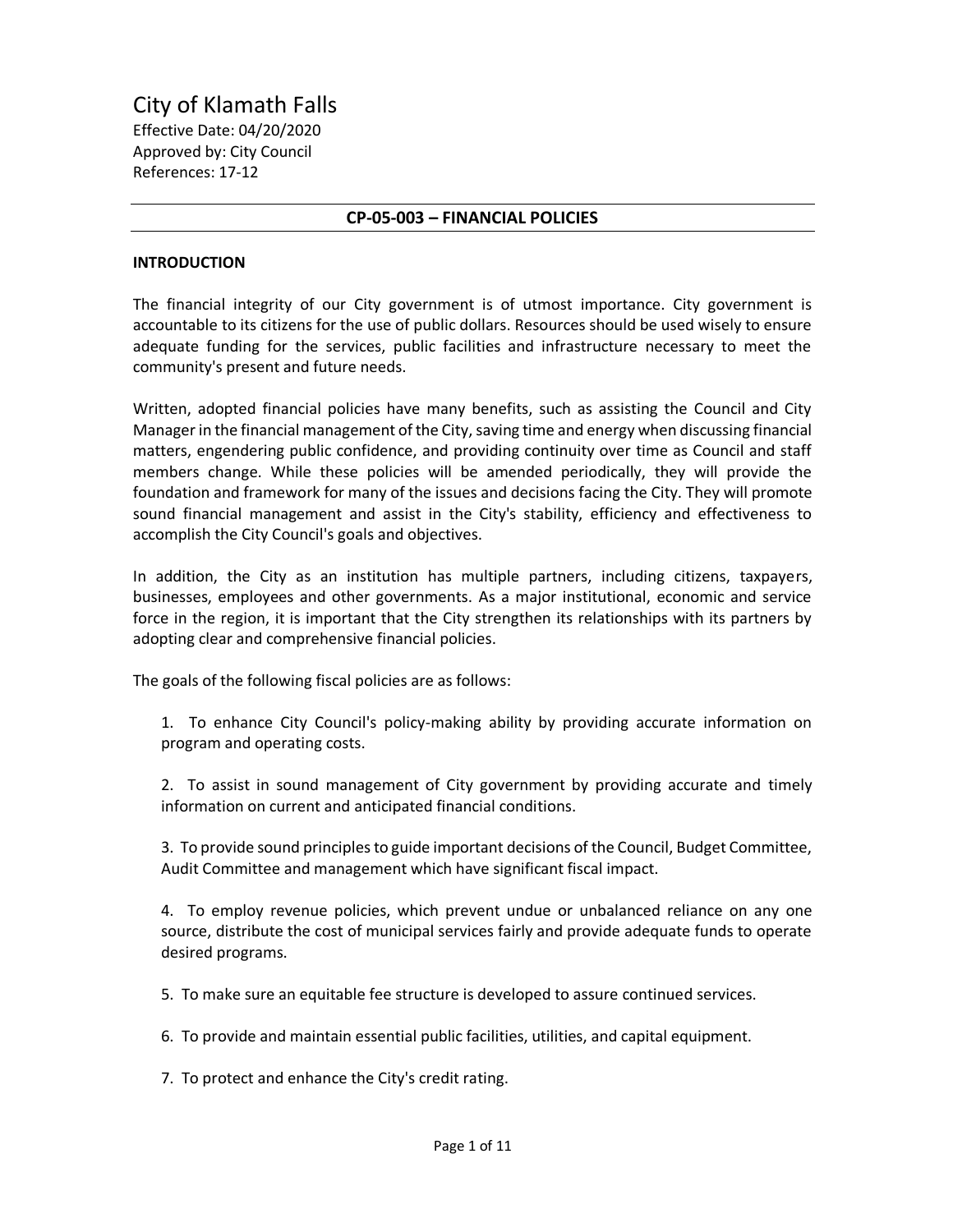City of Klamath Falls Effective Date: 04/20/2020 Approved by: City Council References: 17-12

### **CP-05-003 – FINANCIAL POLICIES**

#### **INTRODUCTION**

The financial integrity of our City government is of utmost importance. City government is accountable to its citizens for the use of public dollars. Resources should be used wisely to ensure adequate funding for the services, public facilities and infrastructure necessary to meet the community's present and future needs.

Written, adopted financial policies have many benefits, such as assisting the Council and City Manager in the financial management of the City, saving time and energy when discussing financial matters, engendering public confidence, and providing continuity over time as Council and staff members change. While these policies will be amended periodically, they will provide the foundation and framework for many of the issues and decisions facing the City. They will promote sound financial management and assist in the City's stability, efficiency and effectiveness to accomplish the City Council's goals and objectives.

In addition, the City as an institution has multiple partners, including citizens, taxpayers, businesses, employees and other governments. As a major institutional, economic and service force in the region, it is important that the City strengthen its relationships with its partners by adopting clear and comprehensive financial policies.

The goals of the following fiscal policies are as follows:

1. To enhance City Council's policy-making ability by providing accurate information on program and operating costs.

2. To assist in sound management of City government by providing accurate and timely information on current and anticipated financial conditions.

3. To provide sound principles to guide important decisions of the Council, Budget Committee, Audit Committee and management which have significant fiscal impact.

4. To employ revenue policies, which prevent undue or unbalanced reliance on any one source, distribute the cost of municipal services fairly and provide adequate funds to operate desired programs.

5. To make sure an equitable fee structure is developed to assure continued services.

6. To provide and maintain essential public facilities, utilities, and capital equipment.

7. To protect and enhance the City's credit rating.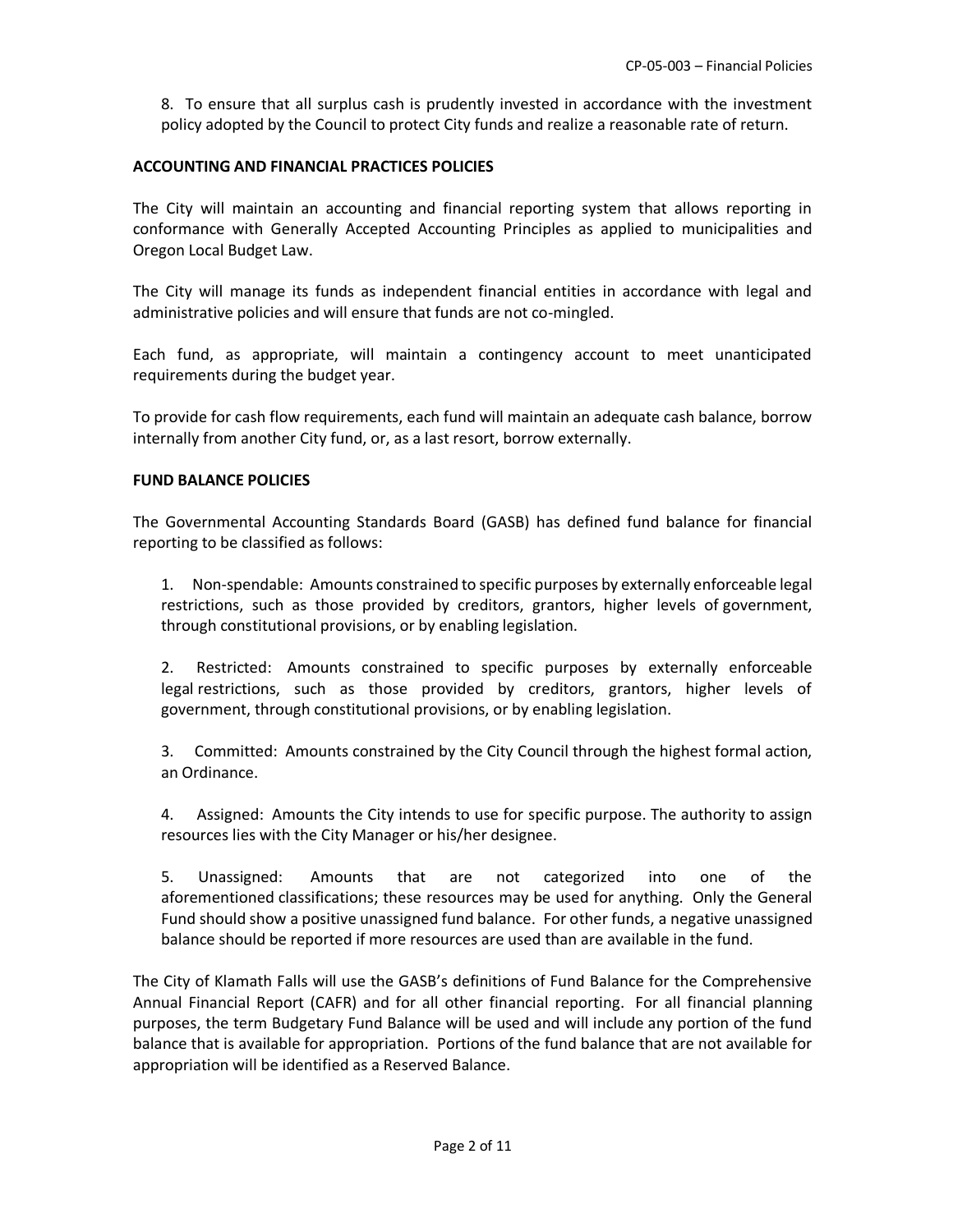8. To ensure that all surplus cash is prudently invested in accordance with the investment policy adopted by the Council to protect City funds and realize a reasonable rate of return.

### **ACCOUNTING AND FINANCIAL PRACTICES POLICIES**

The City will maintain an accounting and financial reporting system that allows reporting in conformance with Generally Accepted Accounting Principles as applied to municipalities and Oregon Local Budget Law.

The City will manage its funds as independent financial entities in accordance with legal and administrative policies and will ensure that funds are not co-mingled.

Each fund, as appropriate, will maintain a contingency account to meet unanticipated requirements during the budget year.

To provide for cash flow requirements, each fund will maintain an adequate cash balance, borrow internally from another City fund, or, as a last resort, borrow externally.

### **FUND BALANCE POLICIES**

The Governmental Accounting Standards Board (GASB) has defined fund balance for financial reporting to be classified as follows:

1. Non-spendable: Amounts constrained to specific purposes by externally enforceable legal restrictions, such as those provided by creditors, grantors, higher levels of government, through constitutional provisions, or by enabling legislation.

2. Restricted: Amounts constrained to specific purposes by externally enforceable legal restrictions, such as those provided by creditors, grantors, higher levels of government, through constitutional provisions, or by enabling legislation.

3. Committed: Amounts constrained by the City Council through the highest formal action, an Ordinance.

4. Assigned: Amounts the City intends to use for specific purpose. The authority to assign resources lies with the City Manager or his/her designee.

5. Unassigned: Amounts that are not categorized into one of the aforementioned classifications; these resources may be used for anything. Only the General Fund should show a positive unassigned fund balance. For other funds, a negative unassigned balance should be reported if more resources are used than are available in the fund.

The City of Klamath Falls will use the GASB's definitions of Fund Balance for the Comprehensive Annual Financial Report (CAFR) and for all other financial reporting. For all financial planning purposes, the term Budgetary Fund Balance will be used and will include any portion of the fund balance that is available for appropriation. Portions of the fund balance that are not available for appropriation will be identified as a Reserved Balance.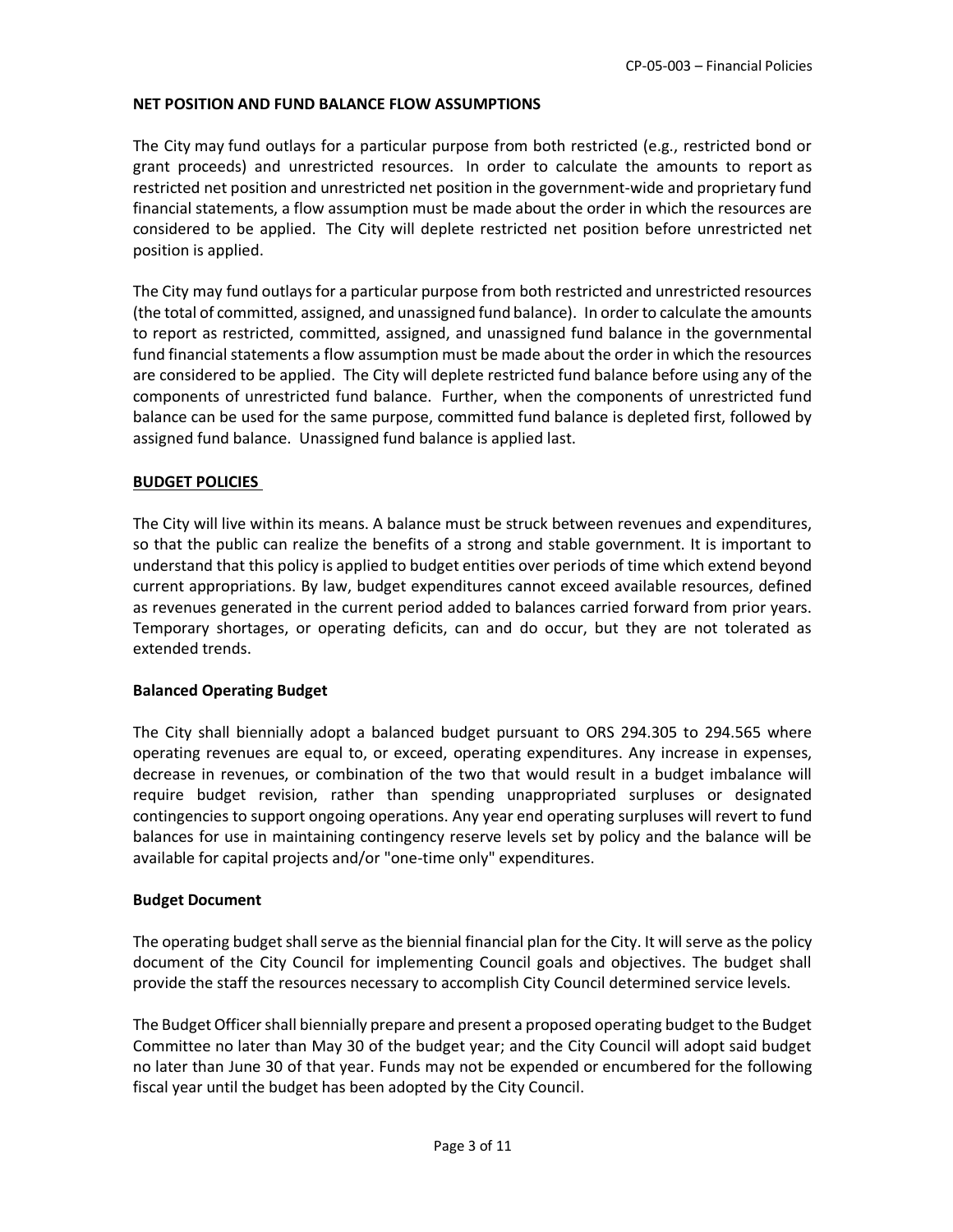# **NET POSITION AND FUND BALANCE FLOW ASSUMPTIONS**

The City may fund outlays for a particular purpose from both restricted (e.g., restricted bond or grant proceeds) and unrestricted resources. In order to calculate the amounts to report as restricted net position and unrestricted net position in the government-wide and proprietary fund financial statements, a flow assumption must be made about the order in which the resources are considered to be applied. The City will deplete restricted net position before unrestricted net position is applied.

The City may fund outlays for a particular purpose from both restricted and unrestricted resources (the total of committed, assigned, and unassigned fund balance). In order to calculate the amounts to report as restricted, committed, assigned, and unassigned fund balance in the governmental fund financial statements a flow assumption must be made about the order in which the resources are considered to be applied. The City will deplete restricted fund balance before using any of the components of unrestricted fund balance. Further, when the components of unrestricted fund balance can be used for the same purpose, committed fund balance is depleted first, followed by assigned fund balance. Unassigned fund balance is applied last.

# **BUDGET POLICIES**

The City will live within its means. A balance must be struck between revenues and expenditures, so that the public can realize the benefits of a strong and stable government. It is important to understand that this policy is applied to budget entities over periods of time which extend beyond current appropriations. By law, budget expenditures cannot exceed available resources, defined as revenues generated in the current period added to balances carried forward from prior years. Temporary shortages, or operating deficits, can and do occur, but they are not tolerated as extended trends.

### **Balanced Operating Budget**

The City shall biennially adopt a balanced budget pursuant to ORS 294.305 to 294.565 where operating revenues are equal to, or exceed, operating expenditures. Any increase in expenses, decrease in revenues, or combination of the two that would result in a budget imbalance will require budget revision, rather than spending unappropriated surpluses or designated contingencies to support ongoing operations. Any year end operating surpluses will revert to fund balances for use in maintaining contingency reserve levels set by policy and the balance will be available for capital projects and/or "one-time only" expenditures.

### **Budget Document**

The operating budget shall serve as the biennial financial plan for the City. It will serve as the policy document of the City Council for implementing Council goals and objectives. The budget shall provide the staff the resources necessary to accomplish City Council determined service levels.

The Budget Officer shall biennially prepare and present a proposed operating budget to the Budget Committee no later than May 30 of the budget year; and the City Council will adopt said budget no later than June 30 of that year. Funds may not be expended or encumbered for the following fiscal year until the budget has been adopted by the City Council.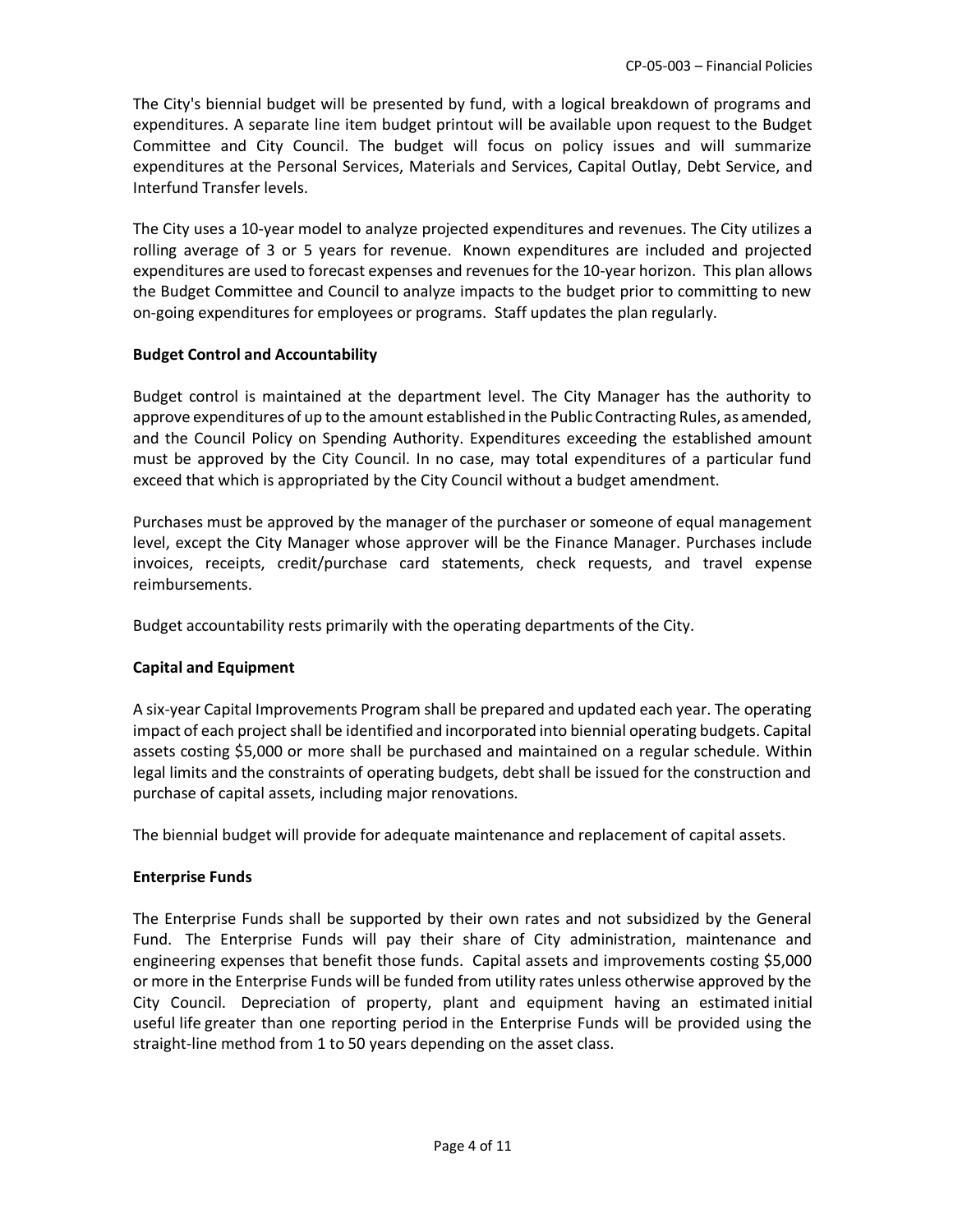The City's biennial budget will be presented by fund, with a logical breakdown of programs and expenditures. A separate line item budget printout will be available upon request to the Budget Committee and City Council. The budget will focus on policy issues and will summarize expenditures at the Personal Services, Materials and Services, Capital Outlay, Debt Service, and Interfund Transfer levels.

The City uses a 10-year model to analyze projected expenditures and revenues. The City utilizes a rolling average of 3 or 5 years for revenue. Known expenditures are included and projected expenditures are used to forecast expenses and revenues for the 10-year horizon. This plan allows the Budget Committee and Council to analyze impacts to the budget prior to committing to new on-going expenditures for employees or programs. Staff updates the plan regularly.

# **Budget Control and Accountability**

Budget control is maintained at the department level. The City Manager has the authority to approve expenditures of up to the amount established in the Public Contracting Rules, as amended, and the Council Policy on Spending Authority. Expenditures exceeding the established amount must be approved by the City Council. In no case, may total expenditures of a particular fund exceed that which is appropriated by the City Council without a budget amendment.

Purchases must be approved by the manager of the purchaser or someone of equal management level, except the City Manager whose approver will be the Finance Manager. Purchases include invoices, receipts, credit/purchase card statements, check requests, and travel expense reimbursements.

Budget accountability rests primarily with the operating departments of the City.

# **Capital and Equipment**

A six-year Capital Improvements Program shall be prepared and updated each year. The operating impact of each project shall be identified and incorporated into biennial operating budgets. Capital assets costing \$5,000 or more shall be purchased and maintained on a regular schedule. Within legal limits and the constraints of operating budgets, debt shall be issued for the construction and purchase of capital assets, including major renovations.

The biennial budget will provide for adequate maintenance and replacement of capital assets.

### **Enterprise Funds**

The Enterprise Funds shall be supported by their own rates and not subsidized by the General Fund. The Enterprise Funds will pay their share of City administration, maintenance and engineering expenses that benefit those funds. Capital assets and improvements costing \$5,000 or more in the Enterprise Funds will be funded from utility rates unless otherwise approved by the City Council. Depreciation of property, plant and equipment having an estimated initial useful life greater than one reporting period in the Enterprise Funds will be provided using the straight-line method from 1 to 50 years depending on the asset class.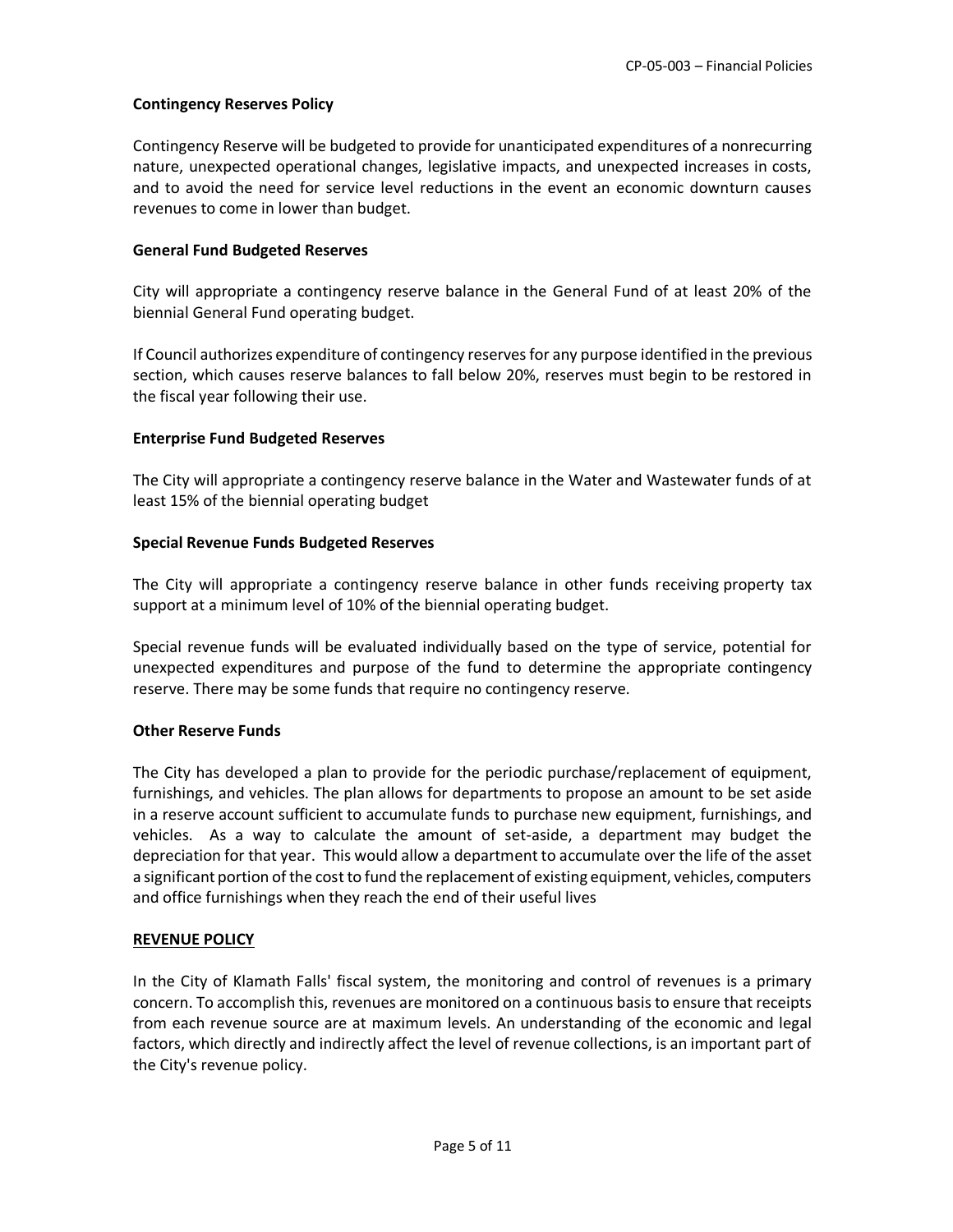# **Contingency Reserves Policy**

Contingency Reserve will be budgeted to provide for unanticipated expenditures of a nonrecurring nature, unexpected operational changes, legislative impacts, and unexpected increases in costs, and to avoid the need for service level reductions in the event an economic downturn causes revenues to come in lower than budget.

# **General Fund Budgeted Reserves**

City will appropriate a contingency reserve balance in the General Fund of at least 20% of the biennial General Fund operating budget.

If Council authorizes expenditure of contingency reserves for any purpose identified in the previous section, which causes reserve balances to fall below 20%, reserves must begin to be restored in the fiscal year following their use.

### **Enterprise Fund Budgeted Reserves**

The City will appropriate a contingency reserve balance in the Water and Wastewater funds of at least 15% of the biennial operating budget

# **Special Revenue Funds Budgeted Reserves**

The City will appropriate a contingency reserve balance in other funds receiving property tax support at a minimum level of 10% of the biennial operating budget.

Special revenue funds will be evaluated individually based on the type of service, potential for unexpected expenditures and purpose of the fund to determine the appropriate contingency reserve. There may be some funds that require no contingency reserve.

### **Other Reserve Funds**

The City has developed a plan to provide for the periodic purchase/replacement of equipment, furnishings, and vehicles. The plan allows for departments to propose an amount to be set aside in a reserve account sufficient to accumulate funds to purchase new equipment, furnishings, and vehicles. As a way to calculate the amount of set-aside, a department may budget the depreciation for that year. This would allow a department to accumulate over the life of the asset a significant portion of the cost to fund the replacement of existing equipment, vehicles, computers and office furnishings when they reach the end of their useful lives

### **REVENUE POLICY**

In the City of Klamath Falls' fiscal system, the monitoring and control of revenues is a primary concern. To accomplish this, revenues are monitored on a continuous basis to ensure that receipts from each revenue source are at maximum levels. An understanding of the economic and legal factors, which directly and indirectly affect the level of revenue collections, is an important part of the City's revenue policy.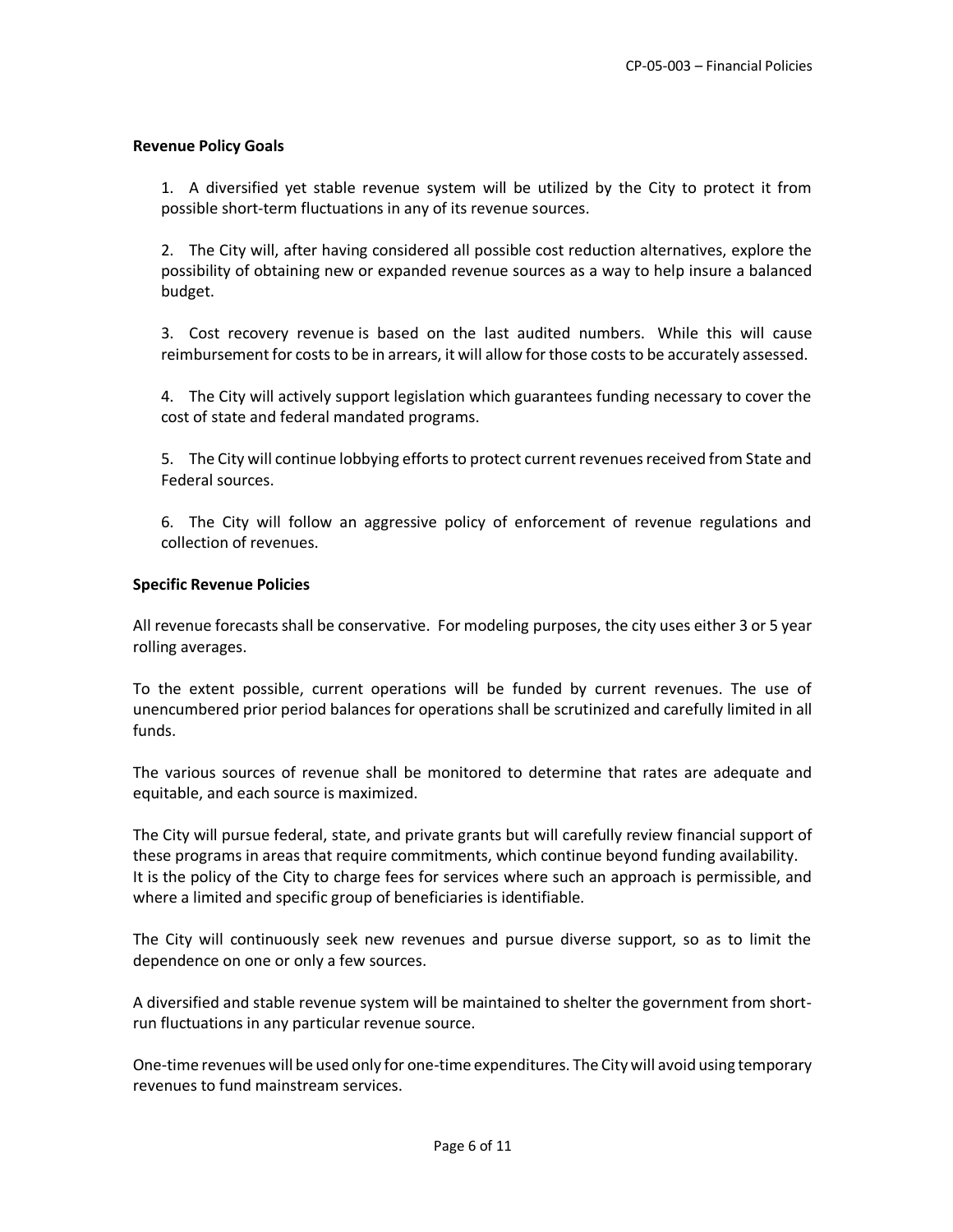### **Revenue Policy Goals**

1. A diversified yet stable revenue system will be utilized by the City to protect it from possible short-term fluctuations in any of its revenue sources.

2. The City will, after having considered all possible cost reduction alternatives, explore the possibility of obtaining new or expanded revenue sources as a way to help insure a balanced budget.

3. Cost recovery revenue is based on the last audited numbers. While this will cause reimbursement for costs to be in arrears, it will allow for those costs to be accurately assessed.

4. The City will actively support legislation which guarantees funding necessary to cover the cost of state and federal mandated programs.

5. The City will continue lobbying efforts to protect current revenues received from State and Federal sources.

6. The City will follow an aggressive policy of enforcement of revenue regulations and collection of revenues.

### **Specific Revenue Policies**

All revenue forecasts shall be conservative. For modeling purposes, the city uses either 3 or 5 year rolling averages.

To the extent possible, current operations will be funded by current revenues. The use of unencumbered prior period balances for operations shall be scrutinized and carefully limited in all funds.

The various sources of revenue shall be monitored to determine that rates are adequate and equitable, and each source is maximized.

The City will pursue federal, state, and private grants but will carefully review financial support of these programs in areas that require commitments, which continue beyond funding availability. It is the policy of the City to charge fees for services where such an approach is permissible, and where a limited and specific group of beneficiaries is identifiable.

The City will continuously seek new revenues and pursue diverse support, so as to limit the dependence on one or only a few sources.

A diversified and stable revenue system will be maintained to shelter the government from shortrun fluctuations in any particular revenue source.

One-time revenues will be used only for one-time expenditures. The City will avoid using temporary revenues to fund mainstream services.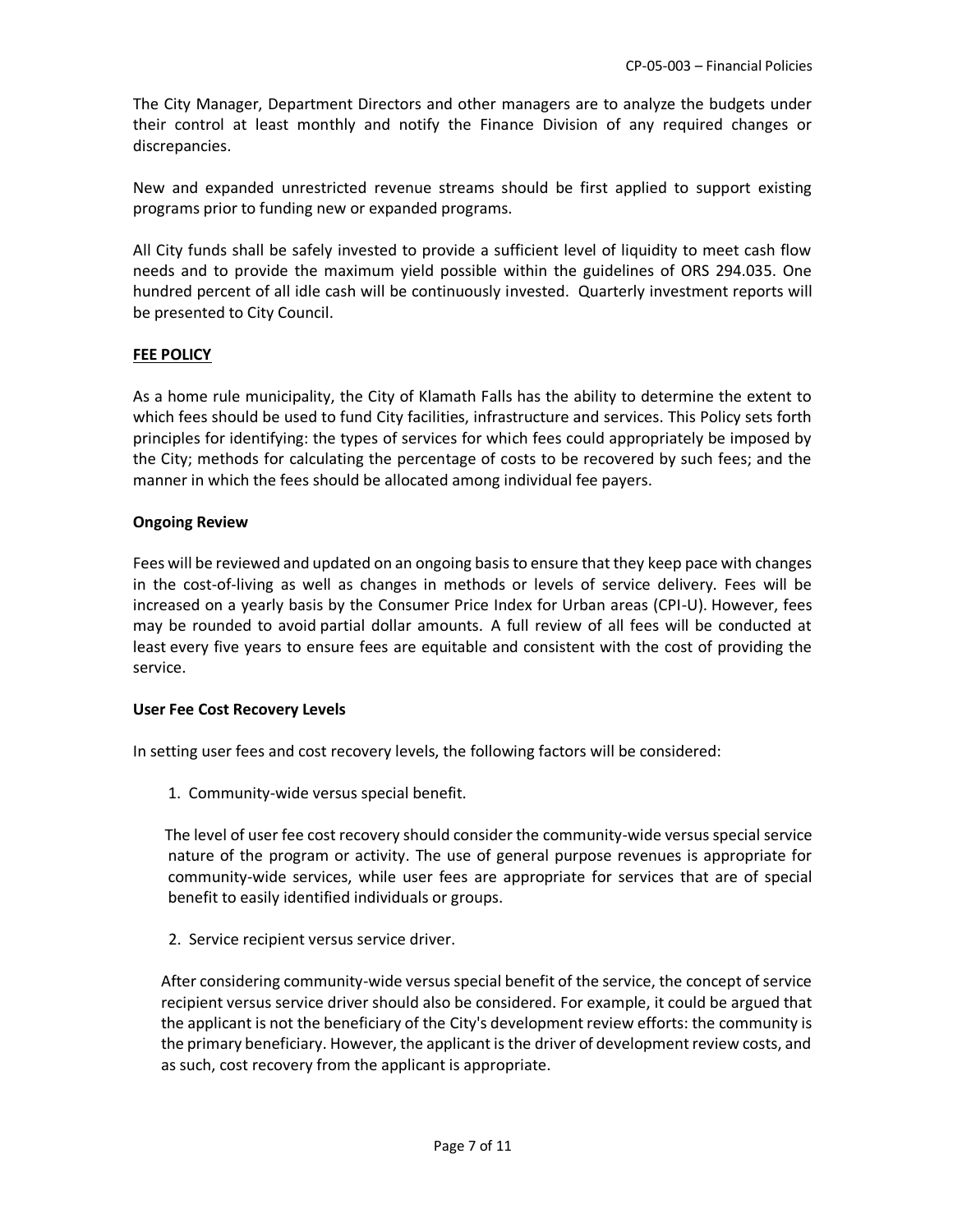The City Manager, Department Directors and other managers are to analyze the budgets under their control at least monthly and notify the Finance Division of any required changes or discrepancies.

New and expanded unrestricted revenue streams should be first applied to support existing programs prior to funding new or expanded programs.

All City funds shall be safely invested to provide a sufficient level of liquidity to meet cash flow needs and to provide the maximum yield possible within the guidelines of ORS 294.035. One hundred percent of all idle cash will be continuously invested. Quarterly investment reports will be presented to City Council.

### **FEE POLICY**

As a home rule municipality, the City of Klamath Falls has the ability to determine the extent to which fees should be used to fund City facilities, infrastructure and services. This Policy sets forth principles for identifying: the types of services for which fees could appropriately be imposed by the City; methods for calculating the percentage of costs to be recovered by such fees; and the manner in which the fees should be allocated among individual fee payers.

### **Ongoing Review**

Fees will be reviewed and updated on an ongoing basis to ensure that they keep pace with changes in the cost-of-living as well as changes in methods or levels of service delivery. Fees will be increased on a yearly basis by the Consumer Price Index for Urban areas (CPI-U). However, fees may be rounded to avoid partial dollar amounts. A full review of all fees will be conducted at least every five years to ensure fees are equitable and consistent with the cost of providing the service.

### **User Fee Cost Recovery Levels**

In setting user fees and cost recovery levels, the following factors will be considered:

1. Community-wide versus special benefit.

The level of user fee cost recovery should consider the community-wide versus special service nature of the program or activity. The use of general purpose revenues is appropriate for community-wide services, while user fees are appropriate for services that are of special benefit to easily identified individuals or groups.

2. Service recipient versus service driver.

After considering community-wide versus special benefit of the service, the concept of service recipient versus service driver should also be considered. For example, it could be argued that the applicant is not the beneficiary of the City's development review efforts: the community is the primary beneficiary. However, the applicant is the driver of development review costs, and as such, cost recovery from the applicant is appropriate.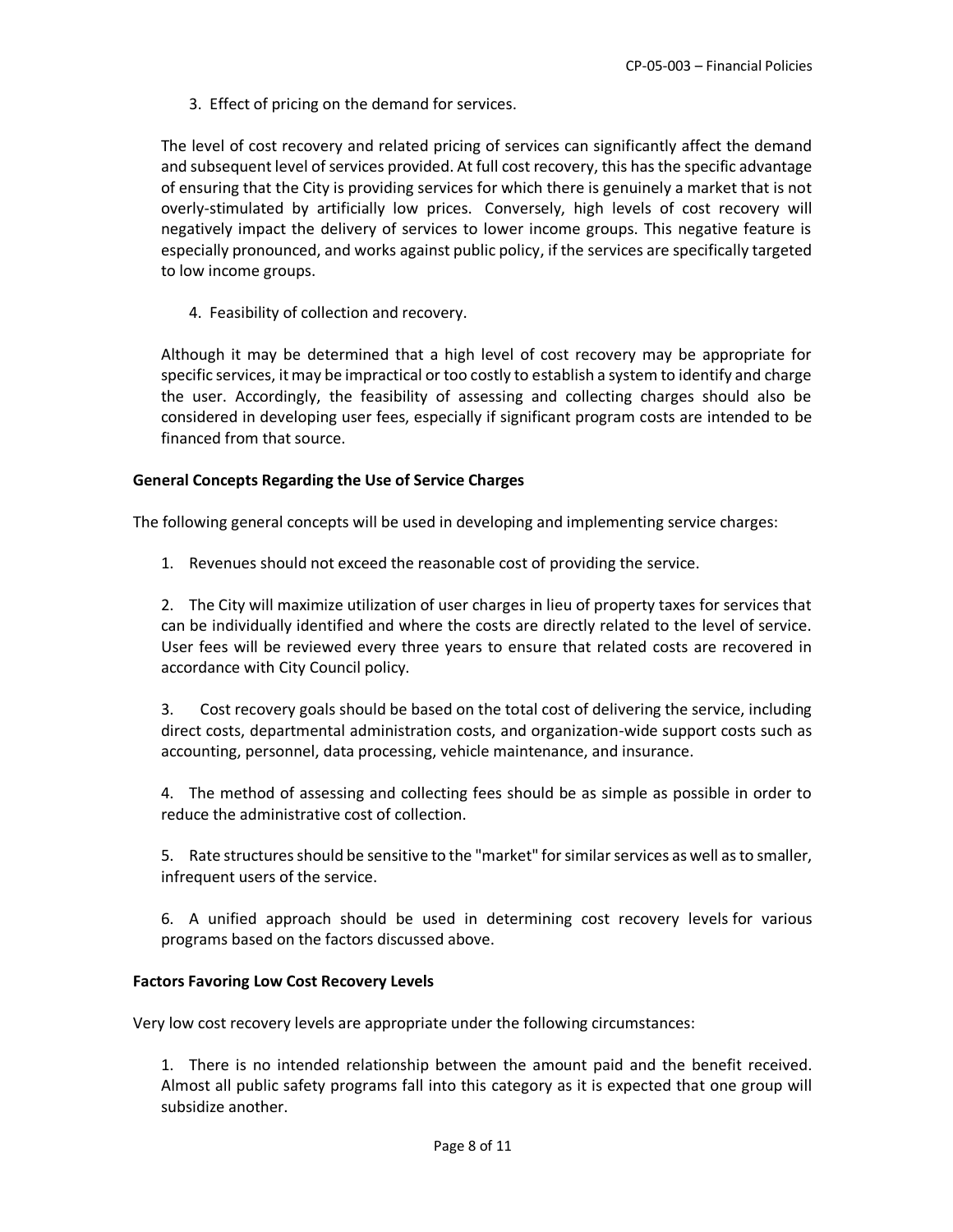3. Effect of pricing on the demand for services.

The level of cost recovery and related pricing of services can significantly affect the demand and subsequent level of services provided. At full cost recovery, this has the specific advantage of ensuring that the City is providing services for which there is genuinely a market that is not overly-stimulated by artificially low prices. Conversely, high levels of cost recovery will negatively impact the delivery of services to lower income groups. This negative feature is especially pronounced, and works against public policy, if the services are specifically targeted to low income groups.

4. Feasibility of collection and recovery.

Although it may be determined that a high level of cost recovery may be appropriate for specific services, it may be impractical or too costly to establish a system to identify and charge the user. Accordingly, the feasibility of assessing and collecting charges should also be considered in developing user fees, especially if significant program costs are intended to be financed from that source.

# **General Concepts Regarding the Use of Service Charges**

The following general concepts will be used in developing and implementing service charges:

1. Revenues should not exceed the reasonable cost of providing the service.

2. The City will maximize utilization of user charges in lieu of property taxes for services that can be individually identified and where the costs are directly related to the level of service. User fees will be reviewed every three years to ensure that related costs are recovered in accordance with City Council policy.

3. Cost recovery goals should be based on the total cost of delivering the service, including direct costs, departmental administration costs, and organization-wide support costs such as accounting, personnel, data processing, vehicle maintenance, and insurance.

4. The method of assessing and collecting fees should be as simple as possible in order to reduce the administrative cost of collection.

5. Rate structures should be sensitive to the "market" for similar services as well as to smaller, infrequent users of the service.

6. A unified approach should be used in determining cost recovery levels for various programs based on the factors discussed above.

### **Factors Favoring Low Cost Recovery Levels**

Very low cost recovery levels are appropriate under the following circumstances:

1. There is no intended relationship between the amount paid and the benefit received. Almost all public safety programs fall into this category as it is expected that one group will subsidize another.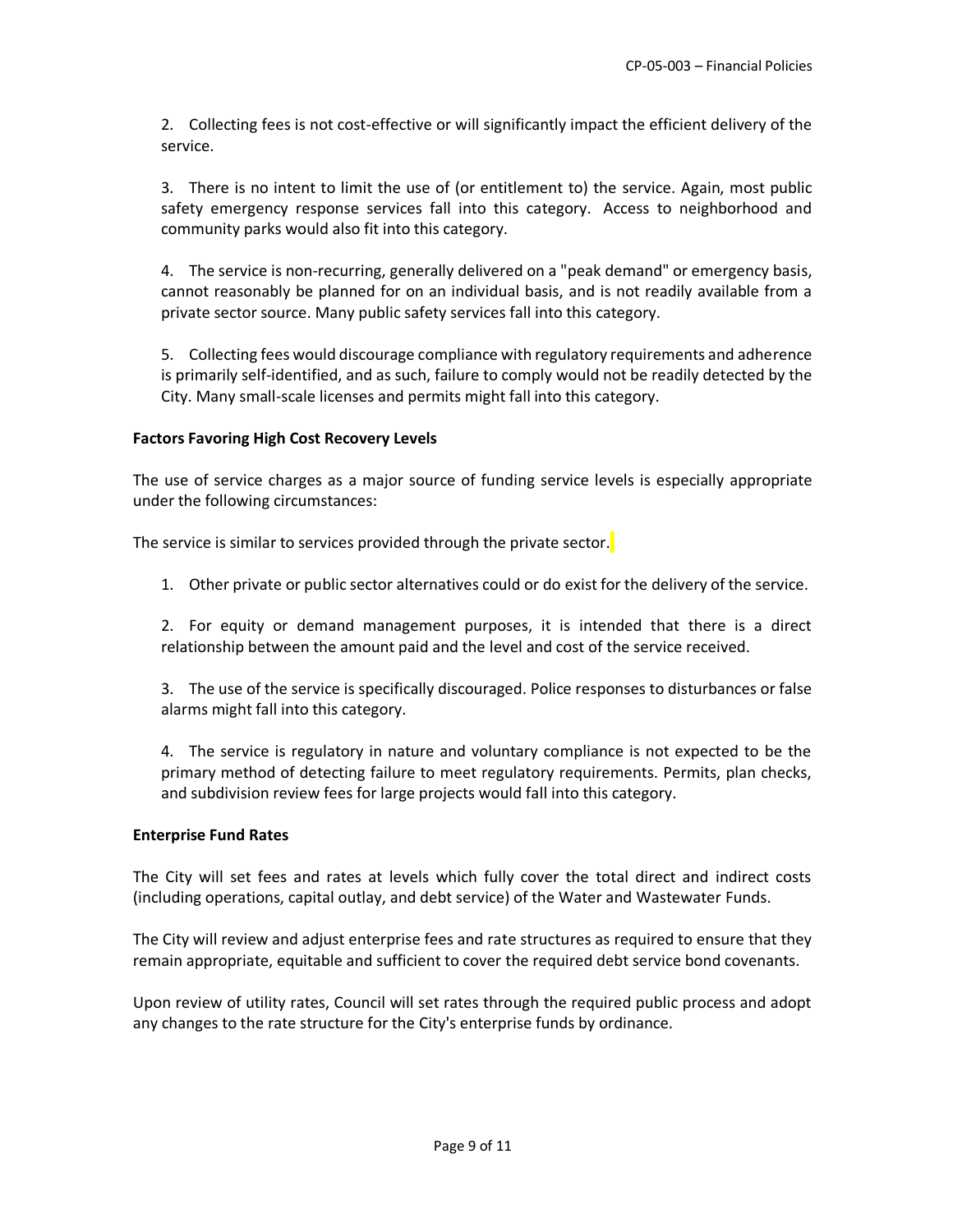2. Collecting fees is not cost-effective or will significantly impact the efficient delivery of the service.

3. There is no intent to limit the use of (or entitlement to) the service. Again, most public safety emergency response services fall into this category. Access to neighborhood and community parks would also fit into this category.

4. The service is non-recurring, generally delivered on a "peak demand" or emergency basis, cannot reasonably be planned for on an individual basis, and is not readily available from a private sector source. Many public safety services fall into this category.

5. Collecting fees would discourage compliance with regulatory requirements and adherence is primarily self-identified, and as such, failure to comply would not be readily detected by the City. Many small-scale licenses and permits might fall into this category.

#### **Factors Favoring High Cost Recovery Levels**

The use of service charges as a major source of funding service levels is especially appropriate under the following circumstances:

The service is similar to services provided through the private sector.

1. Other private or public sector alternatives could or do exist for the delivery of the service.

2. For equity or demand management purposes, it is intended that there is a direct relationship between the amount paid and the level and cost of the service received.

3. The use of the service is specifically discouraged. Police responses to disturbances or false alarms might fall into this category.

4. The service is regulatory in nature and voluntary compliance is not expected to be the primary method of detecting failure to meet regulatory requirements. Permits, plan checks, and subdivision review fees for large projects would fall into this category.

#### **Enterprise Fund Rates**

The City will set fees and rates at levels which fully cover the total direct and indirect costs (including operations, capital outlay, and debt service) of the Water and Wastewater Funds.

The City will review and adjust enterprise fees and rate structures as required to ensure that they remain appropriate, equitable and sufficient to cover the required debt service bond covenants.

Upon review of utility rates, Council will set rates through the required public process and adopt any changes to the rate structure for the City's enterprise funds by ordinance.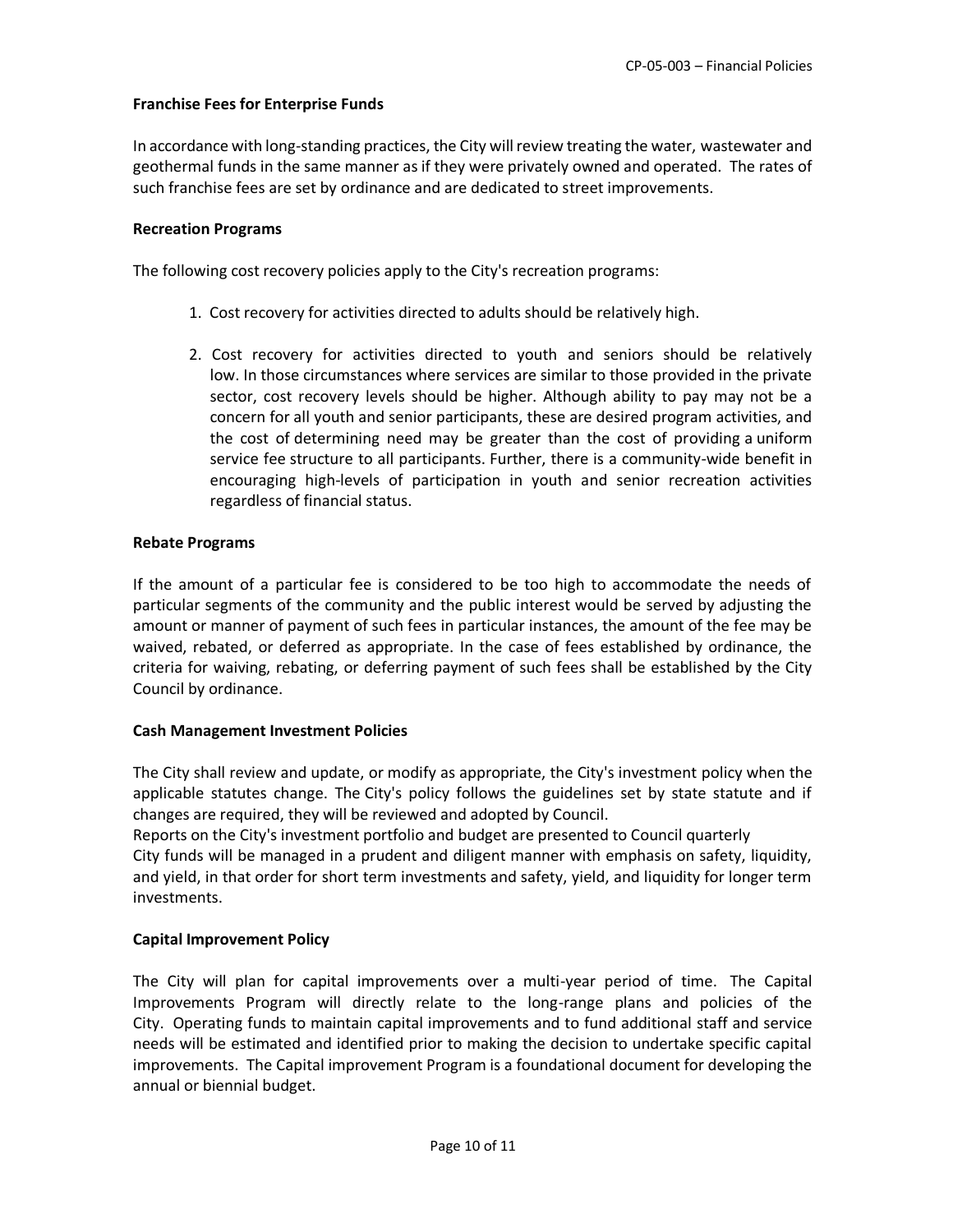### **Franchise Fees for Enterprise Funds**

In accordance with long-standing practices, the City will review treating the water, wastewater and geothermal funds in the same manner as if they were privately owned and operated. The rates of such franchise fees are set by ordinance and are dedicated to street improvements.

### **Recreation Programs**

The following cost recovery policies apply to the City's recreation programs:

- 1. Cost recovery for activities directed to adults should be relatively high.
- 2. Cost recovery for activities directed to youth and seniors should be relatively low. In those circumstances where services are similar to those provided in the private sector, cost recovery levels should be higher. Although ability to pay may not be a concern for all youth and senior participants, these are desired program activities, and the cost of determining need may be greater than the cost of providing a uniform service fee structure to all participants. Further, there is a community-wide benefit in encouraging high-levels of participation in youth and senior recreation activities regardless of financial status.

### **Rebate Programs**

If the amount of a particular fee is considered to be too high to accommodate the needs of particular segments of the community and the public interest would be served by adjusting the amount or manner of payment of such fees in particular instances, the amount of the fee may be waived, rebated, or deferred as appropriate. In the case of fees established by ordinance, the criteria for waiving, rebating, or deferring payment of such fees shall be established by the City Council by ordinance.

### **Cash Management Investment Policies**

The City shall review and update, or modify as appropriate, the City's investment policy when the applicable statutes change. The City's policy follows the guidelines set by state statute and if changes are required, they will be reviewed and adopted by Council.

Reports on the City's investment portfolio and budget are presented to Council quarterly City funds will be managed in a prudent and diligent manner with emphasis on safety, liquidity, and yield, in that order for short term investments and safety, yield, and liquidity for longer term investments.

### **Capital Improvement Policy**

The City will plan for capital improvements over a multi-year period of time. The Capital Improvements Program will directly relate to the long-range plans and policies of the City. Operating funds to maintain capital improvements and to fund additional staff and service needs will be estimated and identified prior to making the decision to undertake specific capital improvements. The Capital improvement Program is a foundational document for developing the annual or biennial budget.